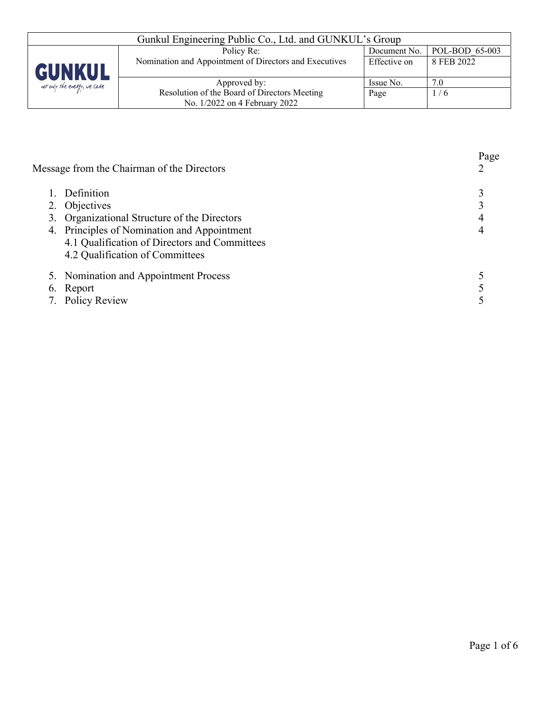| Gunkul Engineering Public Co., Ltd. and GUNKUL's Group |                                                        |              |                |  |
|--------------------------------------------------------|--------------------------------------------------------|--------------|----------------|--|
|                                                        | Policy Re:                                             | Document No. | POL-BOD 65-003 |  |
| <b>GUNKUL</b>                                          | Nomination and Appointment of Directors and Executives | Effective on | 8 FEB 2022     |  |
| not only the energy, we care                           | Approved by:                                           | Issue No.    | 7.0            |  |
|                                                        | Resolution of the Board of Directors Meeting           | Page         | 1/6            |  |
|                                                        | No. 1/2022 on 4 February 2022                          |              |                |  |

| Message from the Chairman of the Directors    | Page |
|-----------------------------------------------|------|
| Definition                                    |      |
| 2. Objectives                                 |      |
| 3. Organizational Structure of the Directors  |      |
| 4. Principles of Nomination and Appointment   |      |
| 4.1 Qualification of Directors and Committees |      |
| 4.2 Qualification of Committees               |      |
| 5. Nomination and Appointment Process         |      |
| 6. Report                                     |      |
| 7. Policy Review                              |      |
|                                               |      |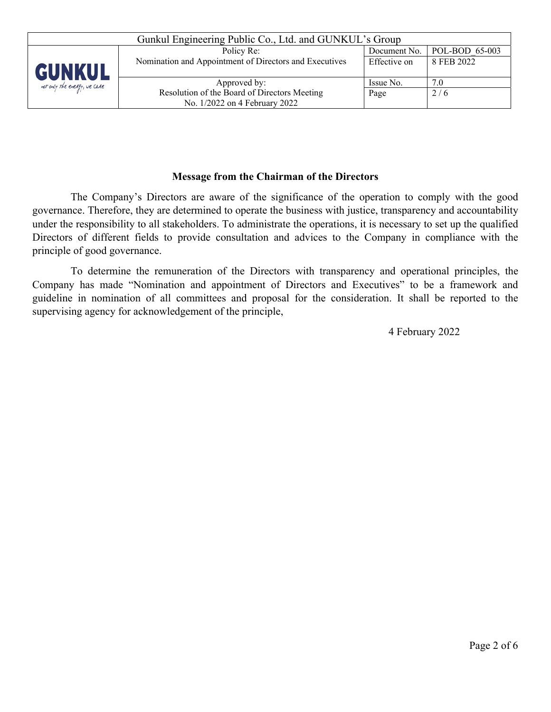| Gunkul Engineering Public Co., Ltd. and GUNKUL's Group |                                                        |              |                |  |
|--------------------------------------------------------|--------------------------------------------------------|--------------|----------------|--|
|                                                        | Policy Re:                                             | Document No. | POL-BOD 65-003 |  |
| GUNKUL                                                 | Nomination and Appointment of Directors and Executives | Effective on | 8 FEB 2022     |  |
| not only the energy, we care                           | Approved by:                                           | Issue No.    | 7.0            |  |
|                                                        | Resolution of the Board of Directors Meeting           | Page         | 2/6            |  |
|                                                        | No. 1/2022 on 4 February 2022                          |              |                |  |

### **Message from the Chairman of the Directors**

The Company's Directors are aware of the significance of the operation to comply with the good governance. Therefore, they are determined to operate the business with justice, transparency and accountability under the responsibility to all stakeholders. To administrate the operations, it is necessary to set up the qualified Directors of different fields to provide consultation and advices to the Company in compliance with the principle of good governance.

To determine the remuneration of the Directors with transparency and operational principles, the Company has made "Nomination and appointment of Directors and Executives" to be a framework and guideline in nomination of all committees and proposal for the consideration. It shall be reported to the supervising agency for acknowledgement of the principle,

4 February 2022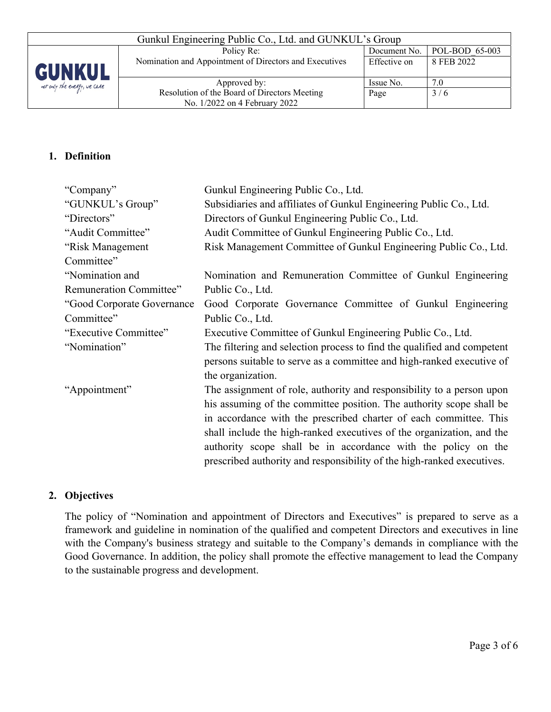

# **1. Definition**

| "Company"                                                                               | Gunkul Engineering Public Co., Ltd.                                    |  |  |  |
|-----------------------------------------------------------------------------------------|------------------------------------------------------------------------|--|--|--|
| "GUNKUL's Group"                                                                        | Subsidiaries and affiliates of Gunkul Engineering Public Co., Ltd.     |  |  |  |
| "Directors"                                                                             | Directors of Gunkul Engineering Public Co., Ltd.                       |  |  |  |
| "Audit Committee"                                                                       | Audit Committee of Gunkul Engineering Public Co., Ltd.                 |  |  |  |
| "Risk Management                                                                        | Risk Management Committee of Gunkul Engineering Public Co., Ltd.       |  |  |  |
| Committee"                                                                              |                                                                        |  |  |  |
| "Nomination and                                                                         | Nomination and Remuneration Committee of Gunkul Engineering            |  |  |  |
| Remuneration Committee"                                                                 | Public Co., Ltd.                                                       |  |  |  |
| "Good Corporate Governance                                                              | Good Corporate Governance Committee of Gunkul Engineering              |  |  |  |
| Committee"                                                                              | Public Co., Ltd.                                                       |  |  |  |
| "Executive Committee"                                                                   | Executive Committee of Gunkul Engineering Public Co., Ltd.             |  |  |  |
| "Nomination"<br>The filtering and selection process to find the qualified and competent |                                                                        |  |  |  |
|                                                                                         | persons suitable to serve as a committee and high-ranked executive of  |  |  |  |
|                                                                                         | the organization.                                                      |  |  |  |
| "Appointment"                                                                           | The assignment of role, authority and responsibility to a person upon  |  |  |  |
|                                                                                         | his assuming of the committee position. The authority scope shall be   |  |  |  |
|                                                                                         | in accordance with the prescribed charter of each committee. This      |  |  |  |
|                                                                                         | shall include the high-ranked executives of the organization, and the  |  |  |  |
|                                                                                         | authority scope shall be in accordance with the policy on the          |  |  |  |
|                                                                                         | prescribed authority and responsibility of the high-ranked executives. |  |  |  |

### **2. Objectives**

The policy of "Nomination and appointment of Directors and Executives" is prepared to serve as a framework and guideline in nomination of the qualified and competent Directors and executives in line with the Company's business strategy and suitable to the Company's demands in compliance with the Good Governance. In addition, the policy shall promote the effective management to lead the Company to the sustainable progress and development.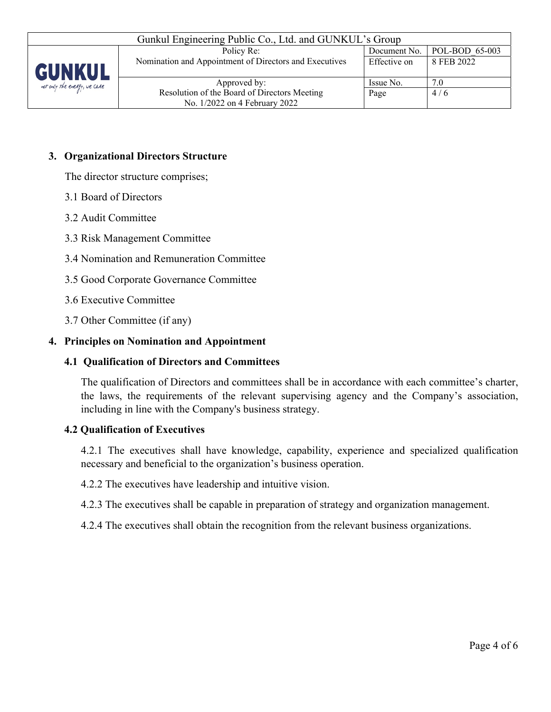

| Gunkul Engineering Public Co., Ltd. and GUNKUL's Group |              |                        |  |
|--------------------------------------------------------|--------------|------------------------|--|
| Policy Re:                                             | Document No. | $\vert$ POL-BOD 65-003 |  |
| Nomination and Appointment of Directors and Executives | Effective on | 8 FEB 2022             |  |
|                                                        |              |                        |  |
| Approved by:                                           | Issue No.    | 7.0                    |  |
| Resolution of the Board of Directors Meeting           | Page         | 4/6                    |  |
| No. 1/2022 on 4 February 2022                          |              |                        |  |

### **3. Organizational Directors Structure**

The director structure comprises;

- 3.1 Board of Directors
- 3.2 Audit Committee
- 3.3 Risk Management Committee
- 3.4 Nomination and Remuneration Committee
- 3.5 Good Corporate Governance Committee
- 3.6 Executive Committee
- 3.7 Other Committee (if any)

### **4. Principles on Nomination and Appointment**

#### **4.1 Qualification of Directors and Committees**

The qualification of Directors and committees shall be in accordance with each committee's charter, the laws, the requirements of the relevant supervising agency and the Company's association, including in line with the Company's business strategy.

#### **4.2 Qualification of Executives**

4.2.1 The executives shall have knowledge, capability, experience and specialized qualification necessary and beneficial to the organization's business operation.

4.2.2 The executives have leadership and intuitive vision.

4.2.3 The executives shall be capable in preparation of strategy and organization management.

4.2.4 The executives shall obtain the recognition from the relevant business organizations.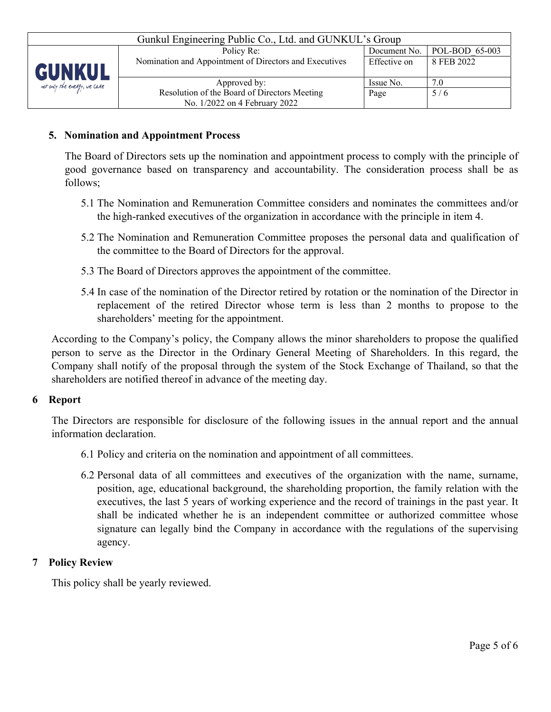| Gunkul Engineering Public Co., Ltd. and GUNKUL's Group |                                                        |              |                               |  |
|--------------------------------------------------------|--------------------------------------------------------|--------------|-------------------------------|--|
|                                                        | Policy Re:                                             |              | Document No.   POL-BOD 65-003 |  |
| <b>GUNKUL</b>                                          | Nomination and Appointment of Directors and Executives | Effective on | 8 FEB 2022                    |  |
| not only the energy, we care                           | Approved by:                                           | Issue No.    | 7.0                           |  |
|                                                        | Resolution of the Board of Directors Meeting           | Page         | 5/6                           |  |
|                                                        | No. 1/2022 on 4 February 2022                          |              |                               |  |

## **5. Nomination and Appointment Process**

The Board of Directors sets up the nomination and appointment process to comply with the principle of good governance based on transparency and accountability. The consideration process shall be as follows;

- 5.1 The Nomination and Remuneration Committee considers and nominates the committees and/or the high-ranked executives of the organization in accordance with the principle in item 4.
- 5.2 The Nomination and Remuneration Committee proposes the personal data and qualification of the committee to the Board of Directors for the approval.
- 5.3 The Board of Directors approves the appointment of the committee.
- 5.4 In case of the nomination of the Director retired by rotation or the nomination of the Director in replacement of the retired Director whose term is less than 2 months to propose to the shareholders' meeting for the appointment.

According to the Company's policy, the Company allows the minor shareholders to propose the qualified person to serve as the Director in the Ordinary General Meeting of Shareholders. In this regard, the Company shall notify of the proposal through the system of the Stock Exchange of Thailand, so that the shareholders are notified thereof in advance of the meeting day.

### **6 Report**

The Directors are responsible for disclosure of the following issues in the annual report and the annual information declaration.

- 6.1 Policy and criteria on the nomination and appointment of all committees.
- 6.2 Personal data of all committees and executives of the organization with the name, surname, position, age, educational background, the shareholding proportion, the family relation with the executives, the last 5 years of working experience and the record of trainings in the past year. It shall be indicated whether he is an independent committee or authorized committee whose signature can legally bind the Company in accordance with the regulations of the supervising agency.

### **7 Policy Review**

This policy shall be yearly reviewed.